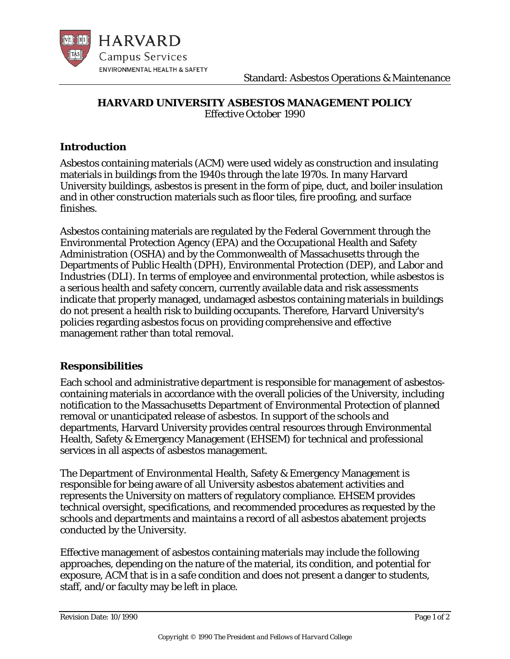

## **HARVARD UNIVERSITY ASBESTOS MANAGEMENT POLICY** *Effective October 1990*

## **Introduction**

Asbestos containing materials (ACM) were used widely as construction and insulating materials in buildings from the 1940s through the late 1970s. In many Harvard University buildings, asbestos is present in the form of pipe, duct, and boiler insulation and in other construction materials such as floor tiles, fire proofing, and surface finishes.

Asbestos containing materials are regulated by the Federal Government through the Environmental Protection Agency (EPA) and the Occupational Health and Safety Administration (OSHA) and by the Commonwealth of Massachusetts through the Departments of Public Health (DPH), Environmental Protection (DEP), and Labor and Industries (DLI). In terms of employee and environmental protection, while asbestos is a serious health and safety concern, currently available data and risk assessments indicate that properly managed, undamaged asbestos containing materials in buildings do not present a health risk to building occupants. Therefore, Harvard University's policies regarding asbestos focus on providing comprehensive and effective management rather than total removal.

## **Responsibilities**

Each school and administrative department is responsible for management of asbestoscontaining materials in accordance with the overall policies of the University, including notification to the Massachusetts Department of Environmental Protection of planned removal or unanticipated release of asbestos. In support of the schools and departments, Harvard University provides central resources through Environmental Health, Safety & Emergency Management (EHSEM) for technical and professional services in all aspects of asbestos management.

The Department of Environmental Health, Safety & Emergency Management is responsible for being aware of all University asbestos abatement activities and represents the University on matters of regulatory compliance. EHSEM provides technical oversight, specifications, and recommended procedures as requested by the schools and departments and maintains a record of all asbestos abatement projects conducted by the University.

Effective management of asbestos containing materials may include the following approaches, depending on the nature of the material, its condition, and potential for exposure, ACM that is in a safe condition and does not present a danger to students, staff, and/or faculty may be left in place.